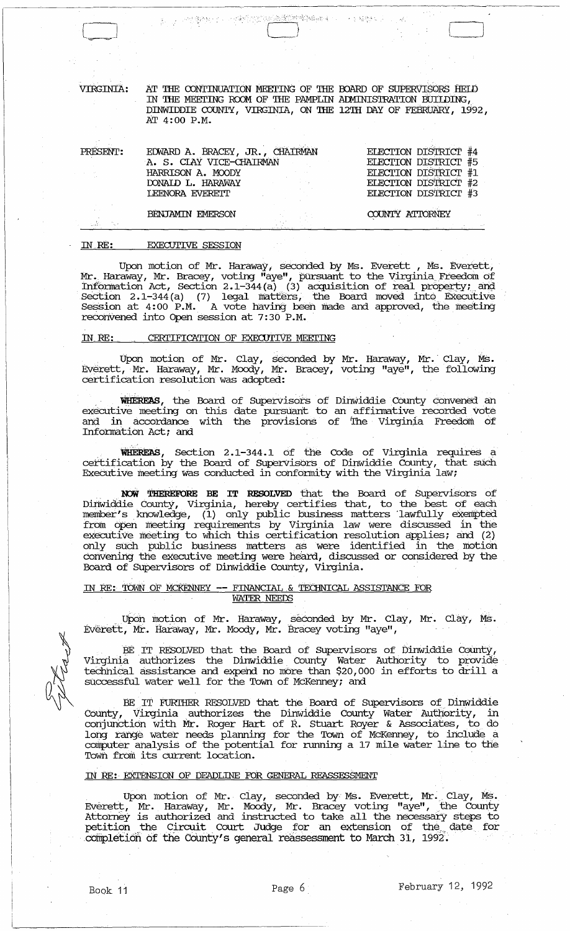AT THE CONTINUATION MEETING OF THE BOARD OF SUPERVISORS HELD IN THE MEETING ROOM OF THE PAMPLIN ADMINISTRATION BUILDING, DINWIDDIE COUNTY, VIRGINIA, ON THE 12TH DAY OF FEBRUARY, 1992, AT 4:00 P.M.

大学 福德

PRE

VIRGINIA:

| SENT: | EDWARD A. BRACEY, JR., CHAIRMAN                                         | ELECTION DISTRICT #4 |
|-------|-------------------------------------------------------------------------|----------------------|
|       | A. S. CIAY VICE-CHAIRMAN                                                | ELECTION DISTRICT #5 |
|       | HARRISON A. MOODY                                                       | ELECTION DISTRICT #1 |
|       | DONAID L. HARAWAY<br>and the state of the state of the                  | ELECTION DISTRICT #2 |
|       | <b>LEENORA EVERETT</b>                                                  | ELECTION DISTRICT #3 |
|       |                                                                         |                      |
|       | BENJAMIN FMERSON<br>1000 - The Control of Control of The Control of The | COUNTY ATTORNEY      |

的复数化了。 计编译内的复数数据控制编码编码 (1)

BENJAMIN FMERSON

## **EXECUTIVE SESSION**  $IN$   $RE:$

Upon motion of Mr. Haraway, seconded by Ms. Everett, Ms. Everett,<br>Mr. Haraway, Mr. Bracey, voting "aye", pursuant to the Virginia Freedom of<br>Information Act, Section 2.1-344(a) (3) acquisition of real property; and<br>Section reconvened into Open session at 7:30 P.M.

## CERTIFICATION OF EXECUTIVE MEETING <u>IN RE:</u>

Upon motion of Mr. Clay, seconded by Mr. Haraway, Mr. Clay, Ms.<br>Everett, Mr. Haraway, Mr. Moody, Mr. Bracey, voting "aye", the following certification resolution was adopted:

WHEREAS, the Board of Supervisors of Dinwiddie County convened an executive meeting on this date pursuant to an affirmative recorded vote and in accordance with the provisions of The Virginia Freedom of Information Act; and

WHEREAS, Section 2.1-344.1 of the Code of Virginia requires a certification by the Board of Supervisors of Dinwiddie County, that such Executive meeting was conducted in conformity with the Virginia law;

NOW THEREFORE BE IT RESOLVED that the Board of Supervisors of Now THEREFORE BE IT RESOLVED that the Board of Supervisors of<br>Dinwiddie County, Virginia, hereby certifies that, to the best of each<br>member's knowledge, (1) only public business matters lawfully exempted<br>from open meeting convening the executive meeting were heard, discussed or considered by the Board of Supervisors of Dinwiddie County, Virginia.

## IN RE: TOWN OF MCKENNEY -- FINANCIAL & TECHNICAL ASSISTANCE FOR **WATER NEEDS**

Upon motion of Mr. Haraway, seconded by Mr. Clay, Mr. Clay, Ms.<br>Everett, Mr. Haraway, Mr. Moody, Mr. Bracey voting "aye",

BE IT RESOLVED that the Board of Supervisors of Dinwiddie County, Virginia authorizes the Dinwiddie County Water Authority to provide technical assistance and expend no more than \$20,000 in efforts to drill a successful water well for the Town of McKenney; and

BE IT FURTHER RESOLVED that the Board of Supervisors of Dinwiddie County, Virginia authorizes the Dinwiddie County Water Authority, in<br>conjunction with Mr. Roger Hart of R. Stuart Royer & Associates, to do long range water needs planning for the Town of McKenney, to include a computer analysis of the potential for running a 17 mile water line to the Town from its current location.

## IN RE: EXTENSION OF DEADLINE FOR GENERAL REASSESSMENT

Upon motion of Mr. Clay, seconded by Ms. Everett, Mr. Clay, Ms.<br>Everett, Mr. Haraway, Mr. Moody, Mr. Bracey voting "aye", the County<br>Attorney is authorized and instructed to take all the necessary steps to<br>petition the Cir completion of the County's general reassessment to March 31, 1992.